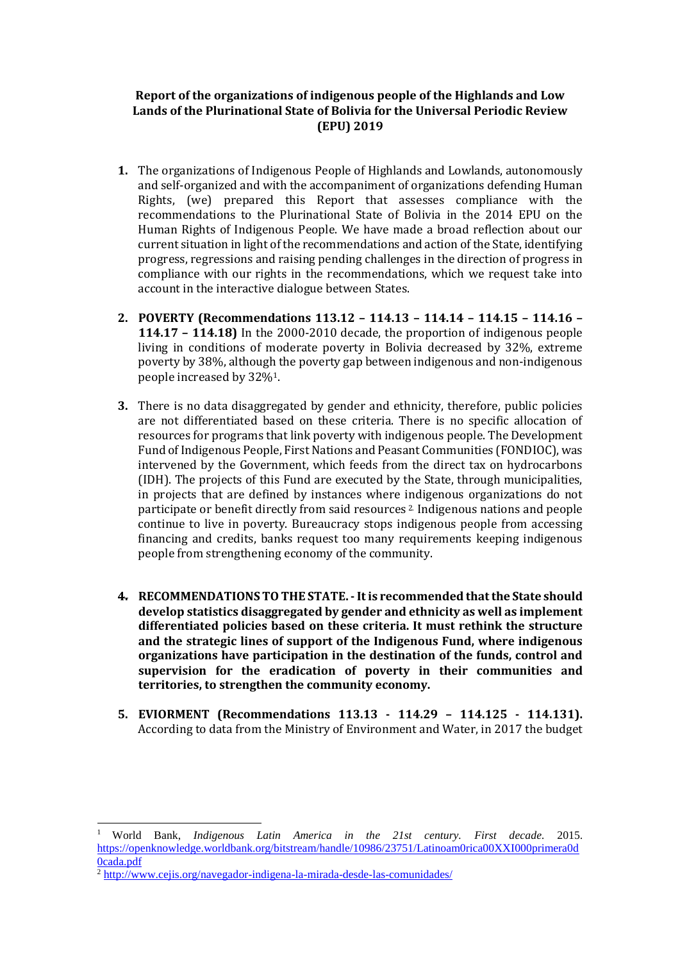## **Report of the organizations of indigenous people of the Highlands and Low Lands of the Plurinational State of Bolivia for the Universal Periodic Review (EPU) 2019**

- **1.** The organizations of Indigenous People of Highlands and Lowlands, autonomously and self-organized and with the accompaniment of organizations defending Human Rights, (we) prepared this Report that assesses compliance with the recommendations to the Plurinational State of Bolivia in the 2014 EPU on the Human Rights of Indigenous People. We have made a broad reflection about our current situation in light of the recommendations and action of the State, identifying progress, regressions and raising pending challenges in the direction of progress in compliance with our rights in the recommendations, which we request take into account in the interactive dialogue between States.
- **2. POVERTY (Recommendations 113.12 – 114.13 – 114.14 – 114.15 – 114.16 – 114.17 – 114.18)** In the 2000-2010 decade, the proportion of indigenous people living in conditions of moderate poverty in Bolivia decreased by 32%, extreme poverty by 38%, although the poverty gap between indigenous and non-indigenous people increased by 32%1.
- **3.** There is no data disaggregated by gender and ethnicity, therefore, public policies are not differentiated based on these criteria. There is no specific allocation of resources for programs that link poverty with indigenous people. The Development Fund of Indigenous People, First Nations and Peasant Communities (FONDIOC), was intervened by the Government, which feeds from the direct tax on hydrocarbons (IDH). The projects of this Fund are executed by the State, through municipalities, in projects that are defined by instances where indigenous organizations do not participate or benefit directly from said resources 2. Indigenous nations and people continue to live in poverty. Bureaucracy stops indigenous people from accessing financing and credits, banks request too many requirements keeping indigenous people from strengthening economy of the community.
- **4. RECOMMENDATIONS TO THE STATE. -It is recommended that the State should develop statistics disaggregated by gender and ethnicity as well as implement differentiated policies based on these criteria. It must rethink the structure and the strategic lines of support of the Indigenous Fund, where indigenous organizations have participation in the destination of the funds, control and supervision for the eradication of poverty in their communities and territories, to strengthen the community economy.**
- **5. EVIORMENT (Recommendations 113.13 - 114.29 – 114.125 - 114.131).**  According to data from the Ministry of Environment and Water, in 2017 the budget

<u>.</u>

<sup>1</sup> World Bank, *Indigenous Latin America in the 21st century. First decade.* 2015. [https://openknowledge.worldbank.org/bitstream/handle/10986/23751/Latinoam0rica00XXI000primera0d](https://openknowledge.worldbank.org/bitstream/handle/10986/23751/Latinoam0rica00XXI000primera0d0cada.pdf) [0cada.pdf](https://openknowledge.worldbank.org/bitstream/handle/10986/23751/Latinoam0rica00XXI000primera0d0cada.pdf)

<sup>&</sup>lt;sup>2</sup> <http://www.cejis.org/navegador-indigena-la-mirada-desde-las-comunidades/>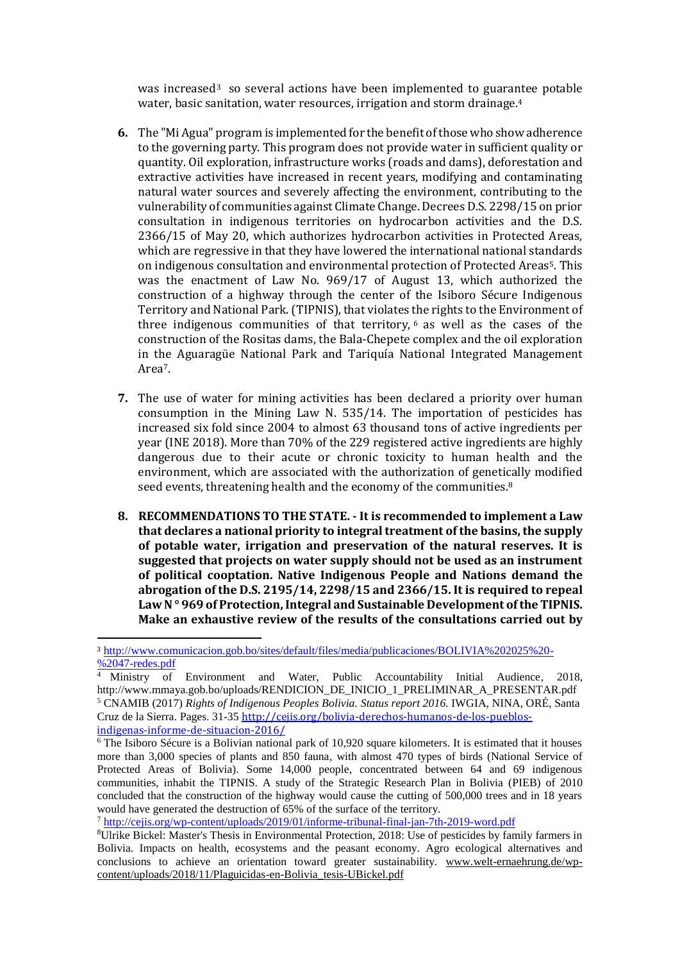was increased<sup>3</sup> so several actions have been implemented to guarantee potable water, basic sanitation, water resources, irrigation and storm drainage. 4

- **6.** The "Mi Agua" program is implemented for the benefit of those who show adherence to the governing party. This program does not provide water in sufficient quality or quantity. Oil exploration, infrastructure works (roads and dams), deforestation and extractive activities have increased in recent years, modifying and contaminating natural water sources and severely affecting the environment, contributing to the vulnerability of communities against Climate Change. Decrees D.S. 2298/15 on prior consultation in indigenous territories on hydrocarbon activities and the D.S. 2366/15 of May 20, which authorizes hydrocarbon activities in Protected Areas, which are regressive in that they have lowered the international national standards on indigenous consultation and environmental protection of Protected Areas5. This was the enactment of Law No. 969/17 of August 13, which authorized the construction of a highway through the center of the Isiboro Sécure Indigenous Territory and National Park. (TIPNIS), that violates the rights to the Environment of three indigenous communities of that territory,  $6$  as well as the cases of the construction of the Rositas dams, the Bala-Chepete complex and the oil exploration in the Aguaragüe National Park and Tariquía National Integrated Management Area7.
- **7.** The use of water for mining activities has been declared a priority over human consumption in the Mining Law N. 535/14. The importation of pesticides has increased six fold since 2004 to almost 63 thousand tons of active ingredients per year (INE 2018). More than 70% of the 229 registered active ingredients are highly dangerous due to their acute or chronic toxicity to human health and the environment, which are associated with the authorization of genetically modified seed events, threatening health and the economy of the communities.<sup>8</sup>
- **8. RECOMMENDATIONS TO THE STATE. - It is recommended to implement a Law that declares a national priority to integral treatment of the basins, the supply of potable water, irrigation and preservation of the natural reserves. It is suggested that projects on water supply should not be used as an instrument of political cooptation. Native Indigenous People and Nations demand the abrogation of the D.S. 2195/14, 2298/15 and 2366/15. It is required to repeal**  Law N°969 of Protection, Integral and Sustainable Development of the TIPNIS. **Make an exhaustive review of the results of the consultations carried out by**

-

<sup>3</sup> [http://www.comunicacion.gob.bo/sites/default/files/media/publicaciones/BOLIVIA%202025%20-](http://www.comunicacion.gob.bo/sites/default/files/media/publicaciones/BOLIVIA%202025%20-%2047-redes.pdf) [%2047-redes.pdf](http://www.comunicacion.gob.bo/sites/default/files/media/publicaciones/BOLIVIA%202025%20-%2047-redes.pdf)

<sup>&</sup>lt;sup>4</sup> Ministry of Environment and Water, Public Accountability Initial Audience, 2018, http://www.mmaya.gob.bo/uploads/RENDICION\_DE\_INICIO\_1\_PRELIMINAR\_A\_PRESENTAR.pdf <sup>5</sup> CNAMIB (2017) *Rights of Indigenous Peoples Bolivia. Status report 2016.* IWGIA, NINA, ORÉ, Santa Cruz de la Sierra. Pages. 31-35 [http://cejis.org/bolivia-derechos-humanos-de-los-pueblos](http://cejis.org/bolivia-derechos-humanos-de-los-pueblos-indigenas-informe-de-situacion-2016/)[indigenas-informe-de-situacion-2016/](http://cejis.org/bolivia-derechos-humanos-de-los-pueblos-indigenas-informe-de-situacion-2016/)

<sup>&</sup>lt;sup>6</sup> The Isiboro Sécure is a Bolivian national park of 10,920 square kilometers. It is estimated that it houses more than 3,000 species of plants and 850 fauna, with almost 470 types of birds (National Service of Protected Areas of Bolivia). Some 14,000 people, concentrated between 64 and 69 indigenous communities, inhabit the TIPNIS. A study of the Strategic Research Plan in Bolivia (PIEB) of 2010 concluded that the construction of the highway would cause the cutting of 500,000 trees and in 18 years would have generated the destruction of 65% of the surface of the territory.

<sup>7</sup> <http://cejis.org/wp-content/uploads/2019/01/informe-tribunal-final-jan-7th-2019-word.pdf>

<sup>&</sup>lt;sup>8</sup>Ulrike Bickel: Master's Thesis in Environmental Protection, 2018: Use of pesticides by family farmers in Bolivia. Impacts on health, ecosystems and the peasant economy. Agro ecological alternatives and conclusions to achieve an orientation toward greater sustainability. [www.welt-ernaehrung.de/wp](http://www.welt-ernaehrung.de/wp-content/uploads/2018/11/Plaguicidas-en-Bolivia_tesis-UBickel.pdf)[content/uploads/2018/11/Plaguicidas-en-Bolivia\\_tesis-UBickel.pdf](http://www.welt-ernaehrung.de/wp-content/uploads/2018/11/Plaguicidas-en-Bolivia_tesis-UBickel.pdf)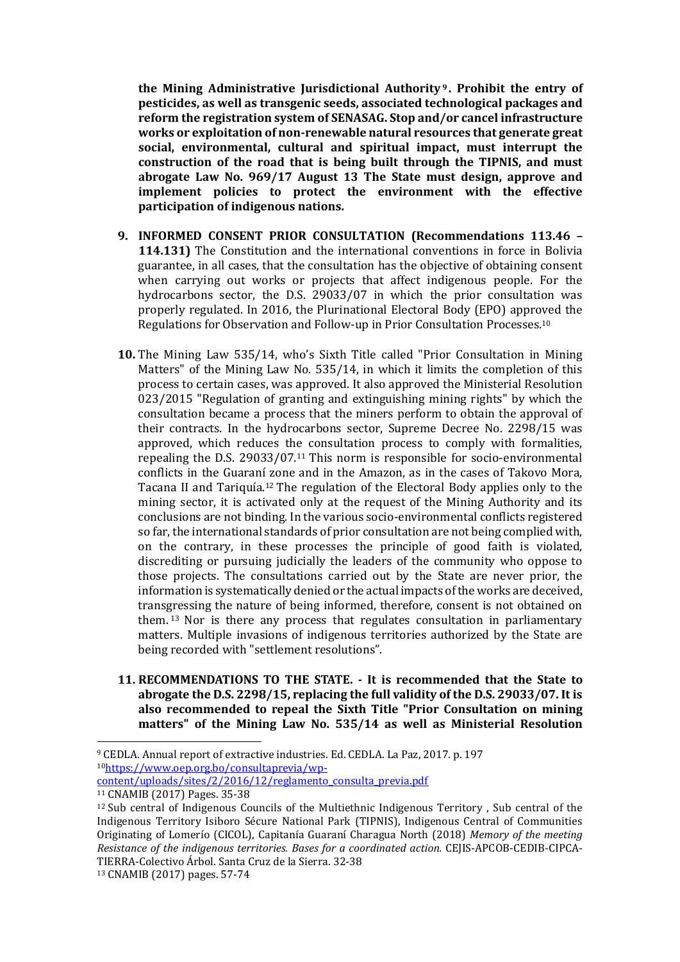**the Mining Administrative Jurisdictional Authority <sup>9</sup> . Prohibit the entry of pesticides, as well as transgenic seeds, associated technological packages and reform the registration system of SENASAG. Stop and/or cancel infrastructure works or exploitation of non-renewable natural resources that generate great social, environmental, cultural and spiritual impact, must interrupt the construction of the road that is being built through the TIPNIS, and must abrogate Law No. 969/17 August 13 The State must design, approve and implement policies to protect the environment with the effective participation of indigenous nations.**

- **9. INFORMED CONSENT PRIOR CONSULTATION (Recommendations 113.46 – 114.131)** The Constitution and the international conventions in force in Bolivia guarantee, in all cases, that the consultation has the objective of obtaining consent when carrying out works or projects that affect indigenous people. For the hydrocarbons sector, the D.S. 29033/07 in which the prior consultation was properly regulated. In 2016, the Plurinational Electoral Body (EPO) approved the Regulations for Observation and Follow-up in Prior Consultation Processes. 10
- **10.** The Mining Law 535/14, who's Sixth Title called "Prior Consultation in Mining Matters" of the Mining Law No. 535/14, in which it limits the completion of this process to certain cases, was approved. It also approved the Ministerial Resolution 023/2015 "Regulation of granting and extinguishing mining rights" by which the consultation became a process that the miners perform to obtain the approval of their contracts. In the hydrocarbons sector, Supreme Decree No. 2298/15 was approved, which reduces the consultation process to comply with formalities, repealing the D.S. 29033/07.<sup>11</sup> This norm is responsible for socio-environmental conflicts in the Guaraní zone and in the Amazon, as in the cases of Takovo Mora, Tacana II and Tariquía.<sup>12</sup> The regulation of the Electoral Body applies only to the mining sector, it is activated only at the request of the Mining Authority and its conclusions are not binding. In the various socio-environmental conflicts registered so far, the international standards of prior consultation are not being complied with, on the contrary, in these processes the principle of good faith is violated, discrediting or pursuing judicially the leaders of the community who oppose to those projects. The consultations carried out by the State are never prior, the information is systematically denied or the actual impacts of the works are deceived, transgressing the nature of being informed, therefore, consent is not obtained on them. <sup>13</sup> Nor is there any process that regulates consultation in parliamentary matters. Multiple invasions of indigenous territories authorized by the State are being recorded with "settlement resolutions".
- **11. RECOMMENDATIONS TO THE STATE. - It is recommended that the State to abrogate the D.S. 2298/15, replacing the full validity of the D.S. 29033/07. It is also recommended to repeal the Sixth Title "Prior Consultation on mining matters" of the Mining Law No. 535/14 as well as Ministerial Resolution**

<u>.</u>

<sup>9</sup> CEDLA. Annual report of extractive industries. Ed. CEDLA. La Paz, 2017. p. 197 10[https://www.oep.org.bo/consultaprevia/wp-](https://www.oep.org.bo/consultaprevia/wp-content/uploads/sites/2/2016/12/reglamento_consulta_previa.pdf)

[content/uploads/sites/2/2016/12/reglamento\\_consulta\\_previa.pdf](https://www.oep.org.bo/consultaprevia/wp-content/uploads/sites/2/2016/12/reglamento_consulta_previa.pdf)

<sup>11</sup> CNAMIB (2017) Pages. 35-38

 $12$  Sub central of Indigenous Councils of the Multiethnic Indigenous Territory . Sub central of the Indigenous Territory Isiboro Sécure National Park (TIPNIS), Indigenous Central of Communities Originating of Lomerío (CICOL), Capitanía Guaraní Charagua North (2018) *Memory of the meeting Resistance of the indigenous territories. Bases for a coordinated action.* CEJIS-APCOB-CEDIB-CIPCA-TIERRA-Colectivo Árbol. Santa Cruz de la Sierra. 32-38

<sup>13</sup> CNAMIB (2017) pages. 57-74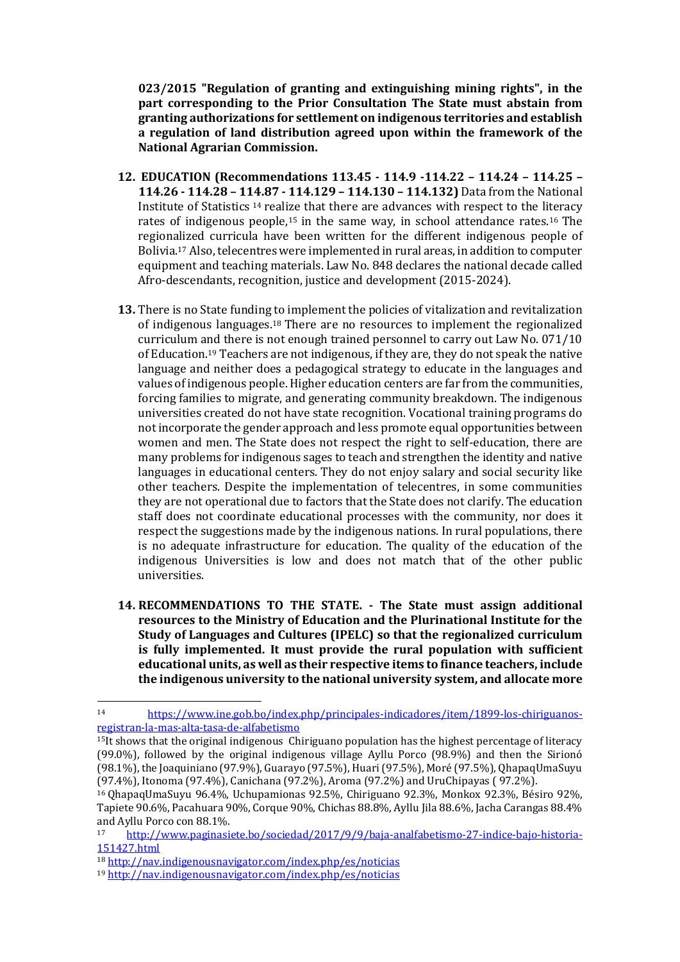**023/2015 "Regulation of granting and extinguishing mining rights", in the part corresponding to the Prior Consultation The State must abstain from granting authorizations for settlement on indigenous territories and establish a regulation of land distribution agreed upon within the framework of the National Agrarian Commission.**

- **12. EDUCATION (Recommendations 113.45 - 114.9 -114.22 – 114.24 – 114.25 – 114.26 - 114.28 – 114.87 - 114.129 – 114.130 – 114.132)** Data from the National Institute of Statistics <sup>14</sup> realize that there are advances with respect to the literacy rates of indigenous people,<sup>15</sup> in the same way, in school attendance rates.<sup>16</sup> The regionalized curricula have been written for the different indigenous people of Bolivia.<sup>17</sup> Also, telecentres were implemented in rural areas, in addition to computer equipment and teaching materials. Law No. 848 declares the national decade called Afro-descendants, recognition, justice and development (2015-2024).
- **13.** There is no State funding to implement the policies of vitalization and revitalization of indigenous languages.<sup>18</sup> There are no resources to implement the regionalized curriculum and there is not enough trained personnel to carry out Law No. 071/10 of Education.<sup>19</sup> Teachers are not indigenous, if they are, they do not speak the native language and neither does a pedagogical strategy to educate in the languages and values of indigenous people. Higher education centers are far from the communities, forcing families to migrate, and generating community breakdown. The indigenous universities created do not have state recognition. Vocational training programs do not incorporate the gender approach and less promote equal opportunities between women and men. The State does not respect the right to self-education, there are many problems for indigenous sages to teach and strengthen the identity and native languages in educational centers. They do not enjoy salary and social security like other teachers. Despite the implementation of telecentres, in some communities they are not operational due to factors that the State does not clarify. The education staff does not coordinate educational processes with the community, nor does it respect the suggestions made by the indigenous nations. In rural populations, there is no adequate infrastructure for education. The quality of the education of the indigenous Universities is low and does not match that of the other public universities.
- **14. RECOMMENDATIONS TO THE STATE. - The State must assign additional resources to the Ministry of Education and the Plurinational Institute for the Study of Languages and Cultures (IPELC) so that the regionalized curriculum is fully implemented. It must provide the rural population with sufficient educational units, as well as their respective items to finance teachers, include the indigenous university to the national university system, and allocate more**

<u>.</u>

<sup>14</sup> [https://www.ine.gob.bo/index.php/principales-indicadores/item/1899-los-chiriguanos](https://www.ine.gob.bo/index.php/principales-indicadores/item/1899-los-chiriguanos-registran-la-mas-alta-tasa-de-alfabetismo)[registran-la-mas-alta-tasa-de-alfabetismo](https://www.ine.gob.bo/index.php/principales-indicadores/item/1899-los-chiriguanos-registran-la-mas-alta-tasa-de-alfabetismo)

<sup>15</sup>It shows that the original indigenous Chiriguano population has the highest percentage of literacy (99.0%), followed by the original indigenous village Ayllu Porco (98.9%) and then the Sirionó (98.1%), the Joaquiniano (97.9%), Guarayo (97.5%), Huari (97.5%), Moré (97.5%), QhapaqUmaSuyu (97.4%), Itonoma (97.4%), Canichana (97.2%), Aroma (97.2%) and UruChipayas ( 97.2%).

 $16$  OhapaqUmaSuyu 96.4%, Uchupamionas 92.5%, Chiriguano 92.3%, Monkox 92.3%, Bésiro 92%, Tapiete 90.6%, Pacahuara 90%, Corque 90%, Chichas 88.8%, Ayllu Jila 88.6%, Jacha Carangas 88.4% and Ayllu Porco con 88.1%.

<sup>17</sup> [http://www.paginasiete.bo/sociedad/2017/9/9/baja-analfabetismo-27-indice-bajo-historia-](http://www.paginasiete.bo/sociedad/2017/9/9/baja-analfabetismo-27-indice-bajo-historia-151427.html)[151427.html](http://www.paginasiete.bo/sociedad/2017/9/9/baja-analfabetismo-27-indice-bajo-historia-151427.html)

<sup>18</sup> <http://nav.indigenousnavigator.com/index.php/es/noticias>

<sup>19</sup> <http://nav.indigenousnavigator.com/index.php/es/noticias>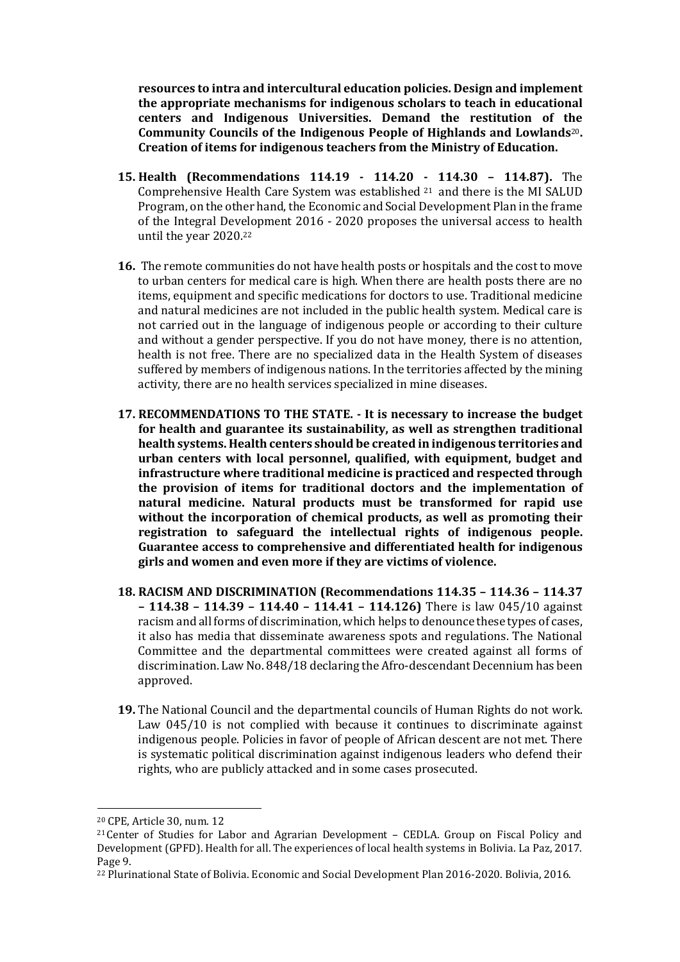**resources to intra and intercultural education policies. Design and implement the appropriate mechanisms for indigenous scholars to teach in educational centers and Indigenous Universities. Demand the restitution of the Community Councils of the Indigenous People of Highlands and Lowlands**20**. Creation of items for indigenous teachers from the Ministry of Education.**

- **15. Health (Recommendations 114.19 - 114.20 - 114.30 – 114.87).** The Comprehensive Health Care System was established <sup>21</sup> and there is the MI SALUD Program, on the other hand, the Economic and Social Development Plan in the frame of the Integral Development 2016 - 2020 proposes the universal access to health until the year 2020.<sup>22</sup>
- **16.** The remote communities do not have health posts or hospitals and the cost to move to urban centers for medical care is high. When there are health posts there are no items, equipment and specific medications for doctors to use. Traditional medicine and natural medicines are not included in the public health system. Medical care is not carried out in the language of indigenous people or according to their culture and without a gender perspective. If you do not have money, there is no attention, health is not free. There are no specialized data in the Health System of diseases suffered by members of indigenous nations. In the territories affected by the mining activity, there are no health services specialized in mine diseases.
- **17. RECOMMENDATIONS TO THE STATE. - It is necessary to increase the budget for health and guarantee its sustainability, as well as strengthen traditional health systems. Health centers should be created in indigenous territories and urban centers with local personnel, qualified, with equipment, budget and infrastructure where traditional medicine is practiced and respected through the provision of items for traditional doctors and the implementation of natural medicine. Natural products must be transformed for rapid use without the incorporation of chemical products, as well as promoting their registration to safeguard the intellectual rights of indigenous people. Guarantee access to comprehensive and differentiated health for indigenous girls and women and even more if they are victims of violence.**
- **18. RACISM AND DISCRIMINATION (Recommendations 114.35 – 114.36 – 114.37 – 114.38 – 114.39 – 114.40 – 114.41 – 114.126)** There is law 045/10 against racism and all forms of discrimination, which helps to denounce these types of cases, it also has media that disseminate awareness spots and regulations. The National Committee and the departmental committees were created against all forms of discrimination. Law No. 848/18 declaring the Afro-descendant Decennium has been approved.
- **19.** The National Council and the departmental councils of Human Rights do not work. Law 045/10 is not complied with because it continues to discriminate against indigenous people. Policies in favor of people of African descent are not met. There is systematic political discrimination against indigenous leaders who defend their rights, who are publicly attacked and in some cases prosecuted.

<sup>20</sup> CPE, Article 30, num. 12

<sup>21</sup>Center of Studies for Labor and Agrarian Development – CEDLA. Group on Fiscal Policy and Development (GPFD). Health for all. The experiences of local health systems in Bolivia. La Paz, 2017. Page 9.

<sup>22</sup> Plurinational State of Bolivia. Economic and Social Development Plan 2016-2020. Bolivia, 2016.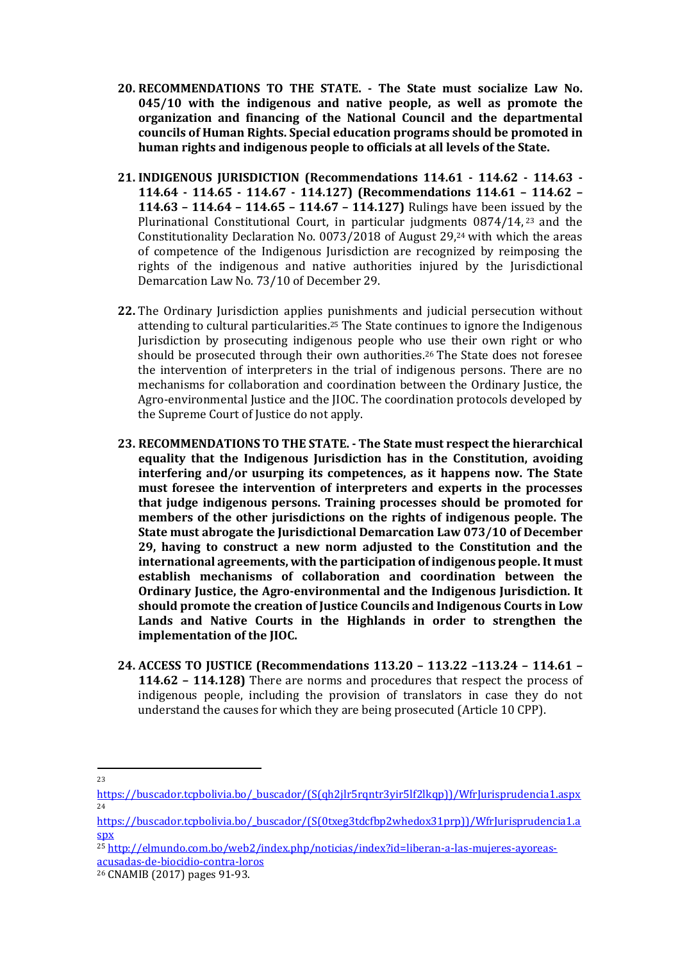- **20. RECOMMENDATIONS TO THE STATE. - The State must socialize Law No. 045/10 with the indigenous and native people, as well as promote the organization and financing of the National Council and the departmental councils of Human Rights. Special education programs should be promoted in human rights and indigenous people to officials at all levels of the State.**
- **21. INDIGENOUS JURISDICTION (Recommendations 114.61 - 114.62 - 114.63 - 114.64 - 114.65 - 114.67 - 114.127) (Recommendations 114.61 – 114.62 – 114.63 – 114.64 – 114.65 – 114.67 – 114.127)** Rulings have been issued by the Plurinational Constitutional Court, in particular judgments 0874/14, <sup>23</sup> and the Constitutionality Declaration No. 0073/2018 of August 29,<sup>24</sup> with which the areas of competence of the Indigenous Jurisdiction are recognized by reimposing the rights of the indigenous and native authorities injured by the Jurisdictional Demarcation Law No. 73/10 of December 29.
- **22.** The Ordinary Jurisdiction applies punishments and judicial persecution without attending to cultural particularities. <sup>25</sup> The State continues to ignore the Indigenous Jurisdiction by prosecuting indigenous people who use their own right or who should be prosecuted through their own authorities. <sup>26</sup> The State does not foresee the intervention of interpreters in the trial of indigenous persons. There are no mechanisms for collaboration and coordination between the Ordinary Justice, the Agro-environmental Justice and the JIOC. The coordination protocols developed by the Supreme Court of Justice do not apply.
- **23. RECOMMENDATIONS TO THE STATE. - The State must respect the hierarchical equality that the Indigenous Jurisdiction has in the Constitution, avoiding interfering and/or usurping its competences, as it happens now. The State must foresee the intervention of interpreters and experts in the processes that judge indigenous persons. Training processes should be promoted for members of the other jurisdictions on the rights of indigenous people. The State must abrogate the Jurisdictional Demarcation Law 073/10 of December 29, having to construct a new norm adjusted to the Constitution and the international agreements, with the participation of indigenous people. It must establish mechanisms of collaboration and coordination between the Ordinary Justice, the Agro-environmental and the Indigenous Jurisdiction. It should promote the creation of Justice Councils and Indigenous Courts in Low Lands and Native Courts in the Highlands in order to strengthen the implementation of the JIOC.**
- **24. ACCESS TO JUSTICE (Recommendations 113.20 – 113.22 –113.24 – 114.61 – 114.62 – 114.128)** There are norms and procedures that respect the process of indigenous people, including the provision of translators in case they do not understand the causes for which they are being prosecuted (Article 10 CPP).

[https://buscador.tcpbolivia.bo/\\_buscador/\(S\(qh2jlr5rqntr3yir5lf2lkqp\)\)/WfrJurisprudencia1.aspx](https://buscador.tcpbolivia.bo/_buscador/(S(qh2jlr5rqntr3yir5lf2lkqp))/WfrJurisprudencia1.aspx) 24

[https://buscador.tcpbolivia.bo/\\_buscador/\(S\(0txeg3tdcfbp2whedox31prp\)\)/WfrJurisprudencia1.a](https://buscador.tcpbolivia.bo/_buscador/(S(0txeg3tdcfbp2whedox31prp))/WfrJurisprudencia1.aspx) [spx](https://buscador.tcpbolivia.bo/_buscador/(S(0txeg3tdcfbp2whedox31prp))/WfrJurisprudencia1.aspx)

<sup>25</sup> [http://elmundo.com.bo/web2/index.php/noticias/index?id=liberan-a-las-mujeres-ayoreas-](http://elmundo.com.bo/web2/index.php/noticias/index?id=liberan-a-las-mujeres-ayoreas-acusadas-de-biocidio-contra-loros)

[acusadas-de-biocidio-contra-loros](http://elmundo.com.bo/web2/index.php/noticias/index?id=liberan-a-las-mujeres-ayoreas-acusadas-de-biocidio-contra-loros)

<sup>26</sup> CNAMIB (2017) pages 91-93.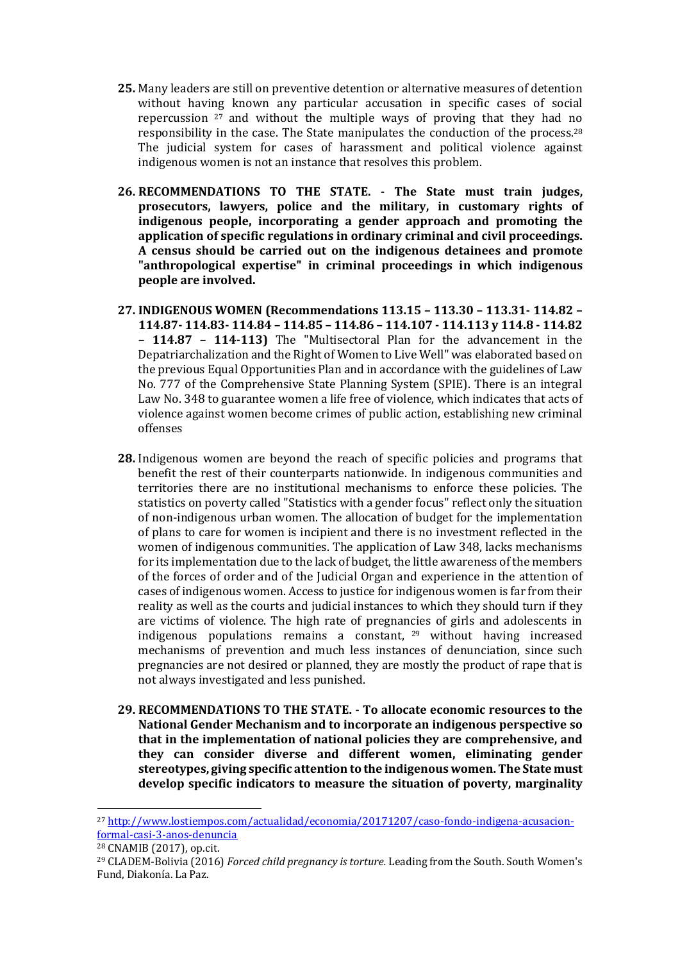- **25.** Many leaders are still on preventive detention or alternative measures of detention without having known any particular accusation in specific cases of social repercussion  $27$  and without the multiple ways of proving that they had no responsibility in the case. The State manipulates the conduction of the process.<sup>28</sup> The judicial system for cases of harassment and political violence against indigenous women is not an instance that resolves this problem.
- **26. RECOMMENDATIONS TO THE STATE. - The State must train judges, prosecutors, lawyers, police and the military, in customary rights of indigenous people, incorporating a gender approach and promoting the application of specific regulations in ordinary criminal and civil proceedings. A census should be carried out on the indigenous detainees and promote "anthropological expertise" in criminal proceedings in which indigenous people are involved.**
- **27. INDIGENOUS WOMEN (Recommendations 113.15 – 113.30 – 113.31- 114.82 – 114.87- 114.83- 114.84 – 114.85 – 114.86 – 114.107 - 114.113 y 114.8 - 114.82 – 114.87 – 114-113)** The "Multisectoral Plan for the advancement in the Depatriarchalization and the Right of Women to Live Well" was elaborated based on the previous Equal Opportunities Plan and in accordance with the guidelines of Law No. 777 of the Comprehensive State Planning System (SPIE). There is an integral Law No. 348 to guarantee women a life free of violence, which indicates that acts of violence against women become crimes of public action, establishing new criminal offenses
- **28.** Indigenous women are beyond the reach of specific policies and programs that benefit the rest of their counterparts nationwide. In indigenous communities and territories there are no institutional mechanisms to enforce these policies. The statistics on poverty called "Statistics with a gender focus" reflect only the situation of non-indigenous urban women. The allocation of budget for the implementation of plans to care for women is incipient and there is no investment reflected in the women of indigenous communities. The application of Law 348, lacks mechanisms for its implementation due to the lack of budget, the little awareness of the members of the forces of order and of the Judicial Organ and experience in the attention of cases of indigenous women. Access to justice for indigenous women is far from their reality as well as the courts and judicial instances to which they should turn if they are victims of violence. The high rate of pregnancies of girls and adolescents in indigenous populations remains a constant, <sup>29</sup> without having increased mechanisms of prevention and much less instances of denunciation, since such pregnancies are not desired or planned, they are mostly the product of rape that is not always investigated and less punished.
- **29. RECOMMENDATIONS TO THE STATE. - To allocate economic resources to the National Gender Mechanism and to incorporate an indigenous perspective so that in the implementation of national policies they are comprehensive, and they can consider diverse and different women, eliminating gender stereotypes, giving specific attention to the indigenous women. The State must develop specific indicators to measure the situation of poverty, marginality**

<sup>27</sup> [http://www.lostiempos.com/actualidad/economia/20171207/caso-fondo-indigena-acusacion](http://www.lostiempos.com/actualidad/economia/20171207/caso-fondo-indigena-acusacion-formal-casi-3-anos-denuncia)[formal-casi-3-anos-denuncia](http://www.lostiempos.com/actualidad/economia/20171207/caso-fondo-indigena-acusacion-formal-casi-3-anos-denuncia)

<sup>28</sup> CNAMIB (2017), op.cit.

<sup>29</sup> CLADEM-Bolivia (2016) *Forced child pregnancy is torture.* Leading from the South. South Women's Fund, Diakonía. La Paz.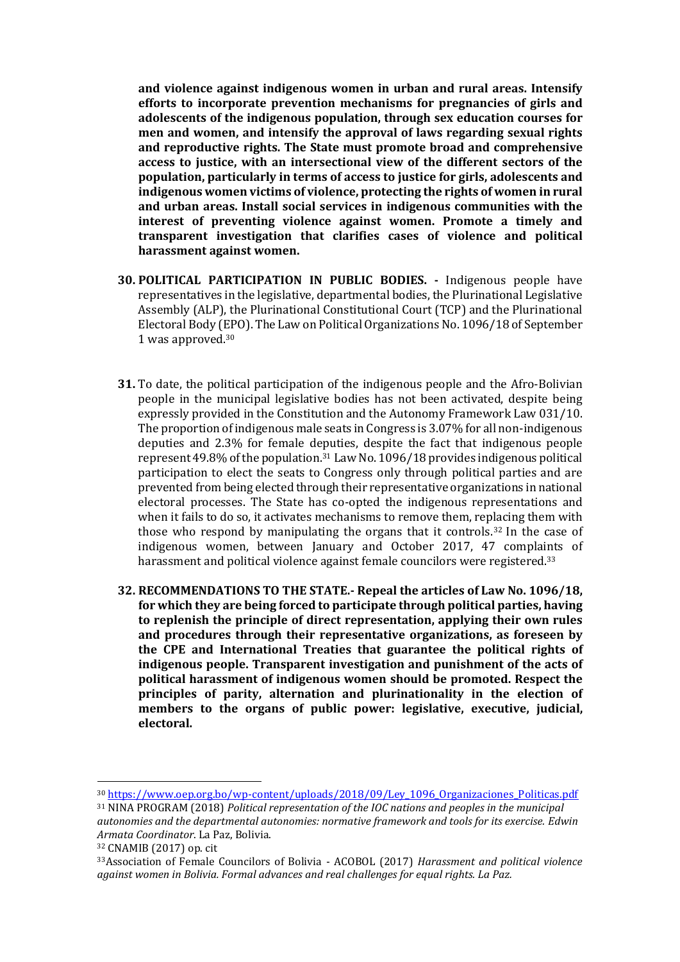**and violence against indigenous women in urban and rural areas. Intensify efforts to incorporate prevention mechanisms for pregnancies of girls and adolescents of the indigenous population, through sex education courses for men and women, and intensify the approval of laws regarding sexual rights and reproductive rights. The State must promote broad and comprehensive access to justice, with an intersectional view of the different sectors of the population, particularly in terms of access to justice for girls, adolescents and indigenous women victims of violence, protecting the rights of women in rural and urban areas. Install social services in indigenous communities with the interest of preventing violence against women. Promote a timely and transparent investigation that clarifies cases of violence and political harassment against women.**

- **30. POLITICAL PARTICIPATION IN PUBLIC BODIES. -** Indigenous people have representatives in the legislative, departmental bodies, the Plurinational Legislative Assembly (ALP), the Plurinational Constitutional Court (TCP) and the Plurinational Electoral Body (EPO). The Law on Political Organizations No. 1096/18 of September 1 was approved. 30
- **31.** To date, the political participation of the indigenous people and the Afro-Bolivian people in the municipal legislative bodies has not been activated, despite being expressly provided in the Constitution and the Autonomy Framework Law 031/10. The proportion of indigenous male seats in Congress is 3.07% for all non-indigenous deputies and 2.3% for female deputies, despite the fact that indigenous people represent 49.8% of the population.<sup>31</sup> Law No. 1096/18 provides indigenous political participation to elect the seats to Congress only through political parties and are prevented from being elected through their representative organizations in national electoral processes. The State has co-opted the indigenous representations and when it fails to do so, it activates mechanisms to remove them, replacing them with those who respond by manipulating the organs that it controls.<sup>32</sup> In the case of indigenous women, between January and October 2017, 47 complaints of harassment and political violence against female councilors were registered.<sup>33</sup>
- **32. RECOMMENDATIONS TO THE STATE.- Repeal the articles of Law No. 1096/18, for which they are being forced to participate through political parties, having to replenish the principle of direct representation, applying their own rules and procedures through their representative organizations, as foreseen by the CPE and International Treaties that guarantee the political rights of indigenous people. Transparent investigation and punishment of the acts of political harassment of indigenous women should be promoted. Respect the principles of parity, alternation and plurinationality in the election of members to the organs of public power: legislative, executive, judicial, electoral.**

-

<sup>30</sup> [https://www.oep.org.bo/wp-content/uploads/2018/09/Ley\\_1096\\_Organizaciones\\_Politicas.pdf](https://www.oep.org.bo/wp-content/uploads/2018/09/Ley_1096_Organizaciones_Politicas.pdf)

<sup>31</sup> NINA PROGRAM (2018) *Political representation of the IOC nations and peoples in the municipal autonomies and the departmental autonomies: normative framework and tools for its exercise. Edwin Armata Coordinator*. La Paz, Bolivia.

<sup>32</sup> CNAMIB (2017) op. cit

<sup>33</sup>Association of Female Councilors of Bolivia - ACOBOL (2017) *Harassment and political violence against women in Bolivia. Formal advances and real challenges for equal rights. La Paz.*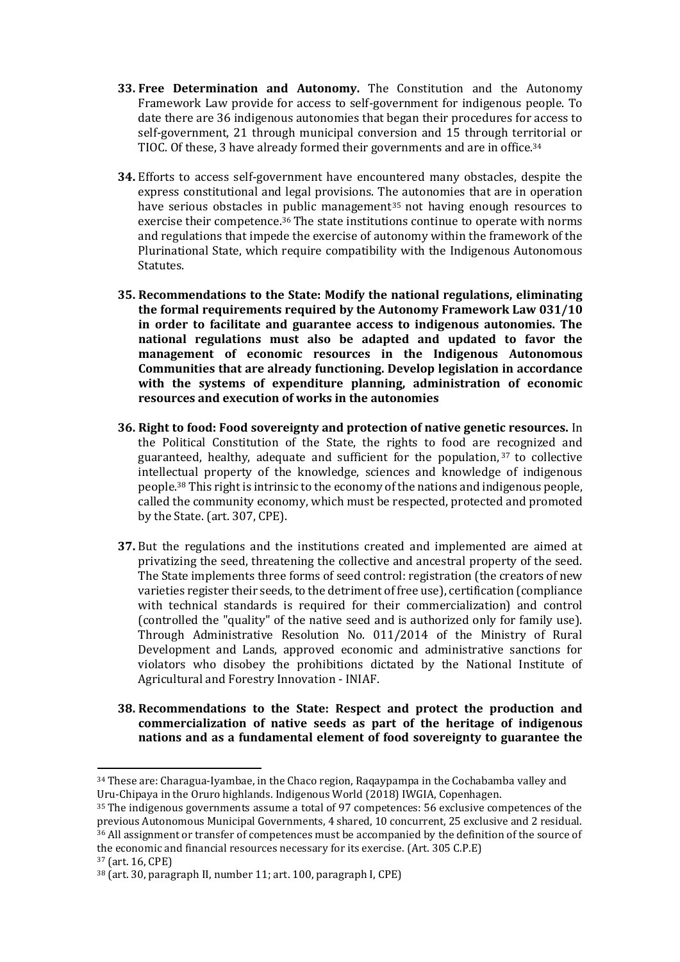- **33. Free Determination and Autonomy.** The Constitution and the Autonomy Framework Law provide for access to self-government for indigenous people. To date there are 36 indigenous autonomies that began their procedures for access to self-government, 21 through municipal conversion and 15 through territorial or TIOC. Of these, 3 have already formed their governments and are in office.<sup>34</sup>
- **34.** Efforts to access self-government have encountered many obstacles, despite the express constitutional and legal provisions. The autonomies that are in operation have serious obstacles in public management<sup>35</sup> not having enough resources to exercise their competence.<sup>36</sup> The state institutions continue to operate with norms and regulations that impede the exercise of autonomy within the framework of the Plurinational State, which require compatibility with the Indigenous Autonomous Statutes.
- **35. Recommendations to the State: Modify the national regulations, eliminating the formal requirements required by the Autonomy Framework Law 031/10 in order to facilitate and guarantee access to indigenous autonomies. The national regulations must also be adapted and updated to favor the management of economic resources in the Indigenous Autonomous Communities that are already functioning. Develop legislation in accordance with the systems of expenditure planning, administration of economic resources and execution of works in the autonomies**
- **36. Right to food: Food sovereignty and protection of native genetic resources.** In the Political Constitution of the State, the rights to food are recognized and guaranteed, healthy, adequate and sufficient for the population,  $37$  to collective intellectual property of the knowledge, sciences and knowledge of indigenous people. <sup>38</sup> This right is intrinsic to the economy of the nations and indigenous people, called the community economy, which must be respected, protected and promoted by the State. (art. 307, CPE).
- **37.** But the regulations and the institutions created and implemented are aimed at privatizing the seed, threatening the collective and ancestral property of the seed. The State implements three forms of seed control: registration (the creators of new varieties register their seeds, to the detriment of free use), certification (compliance with technical standards is required for their commercialization) and control (controlled the "quality" of the native seed and is authorized only for family use). Through Administrative Resolution No. 011/2014 of the Ministry of Rural Development and Lands, approved economic and administrative sanctions for violators who disobey the prohibitions dictated by the National Institute of Agricultural and Forestry Innovation - INIAF.
- **38. Recommendations to the State: Respect and protect the production and commercialization of native seeds as part of the heritage of indigenous nations and as a fundamental element of food sovereignty to guarantee the**

<sup>35</sup> The indigenous governments assume a total of 97 competences: 56 exclusive competences of the previous Autonomous Municipal Governments, 4 shared, 10 concurrent, 25 exclusive and 2 residual.  $36$  All assignment or transfer of competences must be accompanied by the definition of the source of the economic and financial resources necessary for its exercise. (Art. 305 C.P.E)

<sup>34</sup> These are: Charagua-Iyambae, in the Chaco region, Raqaypampa in the Cochabamba valley and Uru-Chipaya in the Oruro highlands. Indigenous World (2018) IWGIA, Copenhagen.

<sup>37</sup> (art. 16, CPE)

<sup>38</sup> (art. 30, paragraph II, number 11; art. 100, paragraph I, CPE)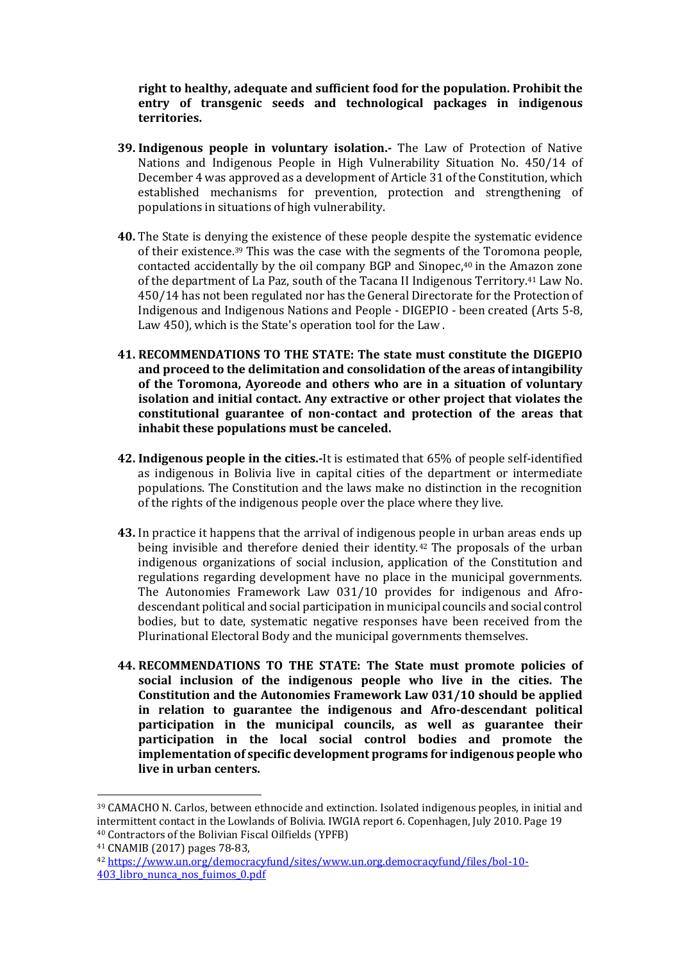**right to healthy, adequate and sufficient food for the population. Prohibit the entry of transgenic seeds and technological packages in indigenous territories.**

- **39. Indigenous people in voluntary isolation.-** The Law of Protection of Native Nations and Indigenous People in High Vulnerability Situation No. 450/14 of December 4 was approved as a development of Article 31 of the Constitution, which established mechanisms for prevention, protection and strengthening of populations in situations of high vulnerability.
- **40.** The State is denying the existence of these people despite the systematic evidence of their existence. <sup>39</sup> This was the case with the segments of the Toromona people, contacted accidentally by the oil company BGP and Sinopec, <sup>40</sup> in the Amazon zone of the department of La Paz, south of the Tacana II Indigenous Territory.<sup>41</sup> Law No. 450/14 has not been regulated nor has the General Directorate for the Protection of Indigenous and Indigenous Nations and People - DIGEPIO - been created (Arts 5-8, Law 450), which is the State's operation tool for the Law .
- **41. RECOMMENDATIONS TO THE STATE: The state must constitute the DIGEPIO and proceed to the delimitation and consolidation of the areas of intangibility of the Toromona, Ayoreode and others who are in a situation of voluntary isolation and initial contact. Any extractive or other project that violates the constitutional guarantee of non-contact and protection of the areas that inhabit these populations must be canceled.**
- **42. Indigenous people in the cities.-**It is estimated that 65% of people self-identified as indigenous in Bolivia live in capital cities of the department or intermediate populations. The Constitution and the laws make no distinction in the recognition of the rights of the indigenous people over the place where they live.
- **43.** In practice it happens that the arrival of indigenous people in urban areas ends up being invisible and therefore denied their identity.<sup>42</sup> The proposals of the urban indigenous organizations of social inclusion, application of the Constitution and regulations regarding development have no place in the municipal governments. The Autonomies Framework Law 031/10 provides for indigenous and Afrodescendant political and social participation in municipal councils and social control bodies, but to date, systematic negative responses have been received from the Plurinational Electoral Body and the municipal governments themselves.
- **44. RECOMMENDATIONS TO THE STATE: The State must promote policies of social inclusion of the indigenous people who live in the cities. The Constitution and the Autonomies Framework Law 031/10 should be applied in relation to guarantee the indigenous and Afro-descendant political participation in the municipal councils, as well as guarantee their participation in the local social control bodies and promote the implementation of specific development programs for indigenous people who live in urban centers.**

<sup>39</sup> CAMACHO N. Carlos, between ethnocide and extinction. Isolated indigenous peoples, in initial and intermittent contact in the Lowlands of Bolivia. IWGIA report 6. Copenhagen, July 2010. Page 19 <sup>40</sup> Contractors of the Bolivian Fiscal Oilfields (YPFB)

<sup>41</sup> CNAMIB (2017) pages 78-83,

<sup>42</sup> [https://www.un.org/democracyfund/sites/www.un.org.democracyfund/files/bol-10-](https://www.un.org/democracyfund/sites/www.un.org.democracyfund/files/bol-10-403_libro_nunca_nos_fuimos_0.pdf) [403\\_libro\\_nunca\\_nos\\_fuimos\\_0.pdf](https://www.un.org/democracyfund/sites/www.un.org.democracyfund/files/bol-10-403_libro_nunca_nos_fuimos_0.pdf)